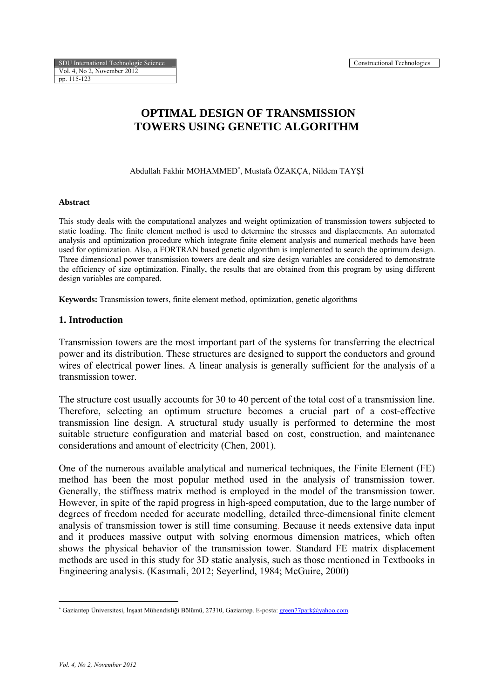# **OPTIMAL DESIGN OF TRANSMISSION TOWERS USING GENETIC ALGORITHM**

Abdullah Fakhir MOHAMMED<sup>∗</sup> , Mustafa ÖZAKÇA, Nildem TAYŞİ

#### **Abstract**

This study deals with the computational analyzes and weight optimization of transmission towers subjected to static loading. The finite element method is used to determine the stresses and displacements. An automated analysis and optimization procedure which integrate finite element analysis and numerical methods have been used for optimization. Also, a FORTRAN based genetic algorithm is implemented to search the optimum design. Three dimensional power transmission towers are dealt and size design variables are considered to demonstrate the efficiency of size optimization. Finally, the results that are obtained from this program by using different design variables are compared.

**Keywords:** Transmission towers, finite element method, optimization, genetic algorithms

#### **1. Introduction**

Transmission towers are the most important part of the systems for transferring the electrical power and its distribution. These structures are designed to support the conductors and ground wires of electrical power lines. A linear analysis is generally sufficient for the analysis of a transmission tower.

The structure cost usually accounts for 30 to 40 percent of the total cost of a transmission line. Therefore, selecting an optimum structure becomes a crucial part of a cost-effective transmission line design. A structural study usually is performed to determine the most suitable structure configuration and material based on cost, construction, and maintenance considerations and amount of electricity (Chen, 2001).

One of the numerous available analytical and numerical techniques, the Finite Element (FE) method has been the most popular method used in the analysis of transmission tower. Generally, the stiffness matrix method is employed in the model of the transmission tower. However, in spite of the rapid progress in high-speed computation, due to the large number of degrees of freedom needed for accurate modelling, detailed three-dimensional finite element analysis of transmission tower is still time consuming. Because it needs extensive data input and it produces massive output with solving enormous dimension matrices, which often shows the physical behavior of the transmission tower. Standard FE matrix displacement methods are used in this study for 3D static analysis, such as those mentioned in Textbooks in Engineering analysis. (Kasımali, 2012; Seyerlind, 1984; McGuire, 2000)

1

<sup>∗</sup> Gaziantep Üniversitesi, İnşaat Mühendisliği Bölümü, 27310, Gaziantep. E-posta: green77park@yahoo.com.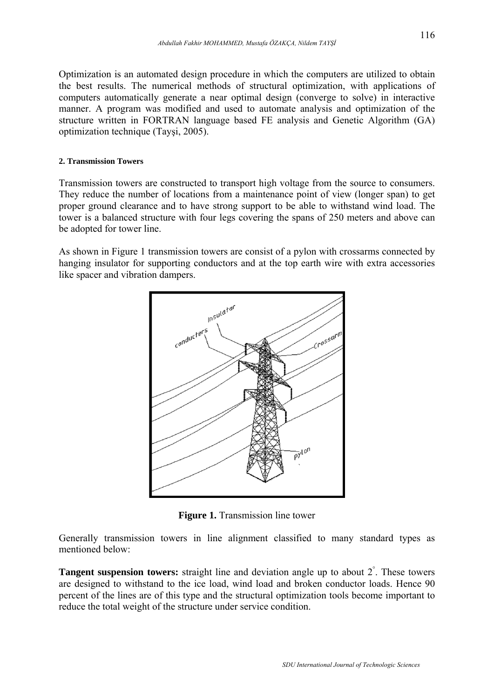Optimization is an automated design procedure in which the computers are utilized to obtain the best results. The numerical methods of structural optimization, with applications of computers automatically generate a near optimal design (converge to solve) in interactive manner. A program was modified and used to automate analysis and optimization of the structure written in FORTRAN language based FE analysis and Genetic Algorithm (GA) optimization technique (Tayşi, 2005).

#### **2. Transmission Towers**

Transmission towers are constructed to transport high voltage from the source to consumers. They reduce the number of locations from a maintenance point of view (longer span) to get proper ground clearance and to have strong support to be able to withstand wind load. The tower is a balanced structure with four legs covering the spans of 250 meters and above can be adopted for tower line.

As shown in Figure 1 transmission towers are consist of a pylon with crossarms connected by hanging insulator for supporting conductors and at the top earth wire with extra accessories like spacer and vibration dampers.



**Figure 1.** Transmission line tower

Generally transmission towers in line alignment classified to many standard types as mentioned below:

**Tangent suspension towers:** straight line and deviation angle up to about 2<sup>°</sup>. These towers are designed to withstand to the ice load, wind load and broken conductor loads. Hence 90 percent of the lines are of this type and the structural optimization tools become important to reduce the total weight of the structure under service condition.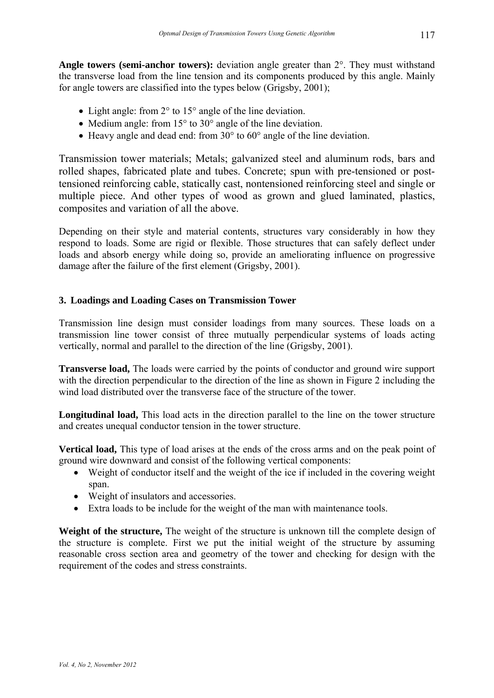**Angle towers (semi-anchor towers):** deviation angle greater than 2°. They must withstand the transverse load from the line tension and its components produced by this angle. Mainly for angle towers are classified into the types below (Grigsby, 2001);

- Light angle: from 2° to 15° angle of the line deviation.
- Medium angle: from 15° to 30° angle of the line deviation.
- Heavy angle and dead end: from 30° to 60° angle of the line deviation.

Transmission tower materials; Metals; galvanized steel and aluminum rods, bars and rolled shapes, fabricated plate and tubes. Concrete; spun with pre-tensioned or posttensioned reinforcing cable, statically cast, nontensioned reinforcing steel and single or multiple piece. And other types of wood as grown and glued laminated, plastics, composites and variation of all the above.

Depending on their style and material contents, structures vary considerably in how they respond to loads. Some are rigid or flexible. Those structures that can safely deflect under loads and absorb energy while doing so, provide an ameliorating influence on progressive damage after the failure of the first element (Grigsby, 2001).

### **3. Loadings and Loading Cases on Transmission Tower**

Transmission line design must consider loadings from many sources. These loads on a transmission line tower consist of three mutually perpendicular systems of loads acting vertically, normal and parallel to the direction of the line (Grigsby, 2001).

**Transverse load,** The loads were carried by the points of conductor and ground wire support with the direction perpendicular to the direction of the line as shown in Figure 2 including the wind load distributed over the transverse face of the structure of the tower.

**Longitudinal load,** This load acts in the direction parallel to the line on the tower structure and creates unequal conductor tension in the tower structure.

**Vertical load,** This type of load arises at the ends of the cross arms and on the peak point of ground wire downward and consist of the following vertical components:

- Weight of conductor itself and the weight of the ice if included in the covering weight span.
- Weight of insulators and accessories.
- Extra loads to be include for the weight of the man with maintenance tools.

Weight of the structure, The weight of the structure is unknown till the complete design of the structure is complete. First we put the initial weight of the structure by assuming reasonable cross section area and geometry of the tower and checking for design with the requirement of the codes and stress constraints.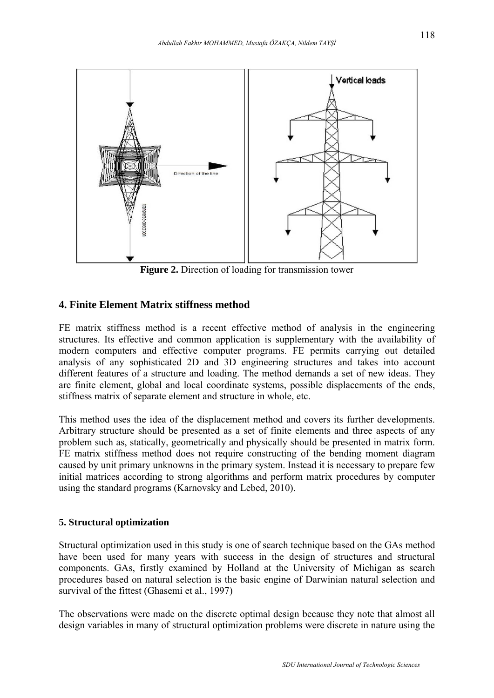

**Figure 2.** Direction of loading for transmission tower

## **4. Finite Element Matrix stiffness method**

FE matrix stiffness method is a recent effective method of analysis in the engineering structures. Its effective and common application is supplementary with the availability of modern computers and effective computer programs. FE permits carrying out detailed analysis of any sophisticated 2D and 3D engineering structures and takes into account different features of a structure and loading. The method demands a set of new ideas. They are finite element, global and local coordinate systems, possible displacements of the ends, stiffness matrix of separate element and structure in whole, etc.

This method uses the idea of the displacement method and covers its further developments. Arbitrary structure should be presented as a set of finite elements and three aspects of any problem such as, statically, geometrically and physically should be presented in matrix form. FE matrix stiffness method does not require constructing of the bending moment diagram caused by unit primary unknowns in the primary system. Instead it is necessary to prepare few initial matrices according to strong algorithms and perform matrix procedures by computer using the standard programs (Karnovsky and Lebed, 2010).

### **5. Structural optimization**

Structural optimization used in this study is one of search technique based on the GAs method have been used for many years with success in the design of structures and structural components. GAs, firstly examined by Holland at the University of Michigan as search procedures based on natural selection is the basic engine of Darwinian natural selection and survival of the fittest (Ghasemi et al., 1997)

The observations were made on the discrete optimal design because they note that almost all design variables in many of structural optimization problems were discrete in nature using the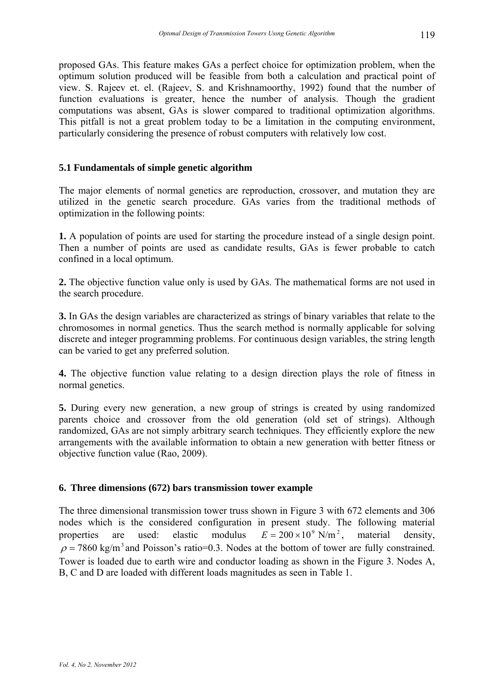proposed GAs. This feature makes GAs a perfect choice for optimization problem, when the optimum solution produced will be feasible from both a calculation and practical point of view. S. Rajeev et. el. (Rajeev, S. and Krishnamoorthy, 1992) found that the number of function evaluations is greater, hence the number of analysis. Though the gradient computations was absent, GAs is slower compared to traditional optimization algorithms. This pitfall is not a great problem today to be a limitation in the computing environment, particularly considering the presence of robust computers with relatively low cost.

### **5.1 Fundamentals of simple genetic algorithm**

The major elements of normal genetics are reproduction, crossover, and mutation they are utilized in the genetic search procedure. GAs varies from the traditional methods of optimization in the following points:

**1.** A population of points are used for starting the procedure instead of a single design point. Then a number of points are used as candidate results, GAs is fewer probable to catch confined in a local optimum.

**2.** The objective function value only is used by GAs. The mathematical forms are not used in the search procedure.

**3.** In GAs the design variables are characterized as strings of binary variables that relate to the chromosomes in normal genetics. Thus the search method is normally applicable for solving discrete and integer programming problems. For continuous design variables, the string length can be varied to get any preferred solution.

**4.** The objective function value relating to a design direction plays the role of fitness in normal genetics.

**5.** During every new generation, a new group of strings is created by using randomized parents choice and crossover from the old generation (old set of strings). Although randomized, GAs are not simply arbitrary search techniques. They efficiently explore the new arrangements with the available information to obtain a new generation with better fitness or objective function value (Rao, 2009).

### **6. Three dimensions (672) bars transmission tower example**

The three dimensional transmission tower truss shown in Figure 3 with 672 elements and 306 nodes which is the considered configuration in present study. The following material properties are used: elastic modulus  $E = 200 \times 10^9$  N/m<sup>2</sup>, material density,  $\rho$  = 7860 kg/m<sup>3</sup> and Poisson's ratio=0.3. Nodes at the bottom of tower are fully constrained. Tower is loaded due to earth wire and conductor loading as shown in the Figure 3. Nodes A, B, C and D are loaded with different loads magnitudes as seen in Table 1.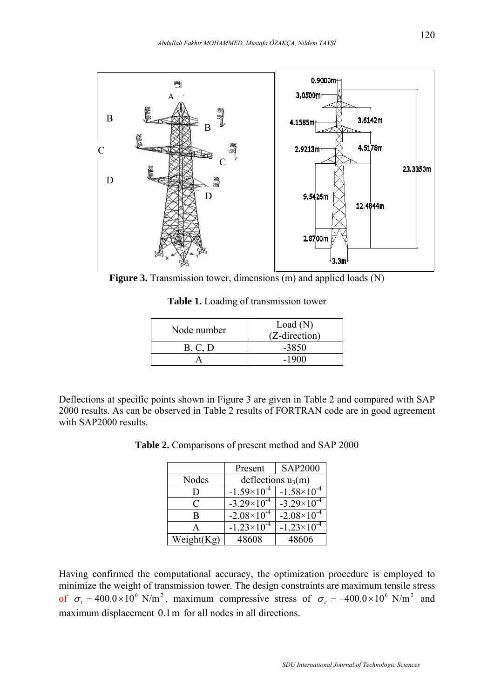

**Figure 3.** Transmission tower, dimensions (m) and applied loads (N)

**Table 1.** Loading of transmission tower

| Node number | Load(N)<br>(Z-direction) |  |
|-------------|--------------------------|--|
| B, C, D     | $-3850$                  |  |
|             | $-1900$                  |  |

Deflections at specific points shown in Figure 3 are given in Table 2 and compared with SAP 2000 results. As can be observed in Table 2 results of FORTRAN code are in good agreement with SAP2000 results.

|               | Present              | <b>SAP2000</b>       |  |
|---------------|----------------------|----------------------|--|
| Nodes         | deflections $u_3(m)$ |                      |  |
| D             | $-1.59\times10^{-4}$ | $-1.58\times10^{-4}$ |  |
| C             | $-3.29\times10^{-4}$ | $-3.29\times10^{-4}$ |  |
| B             | $-2.08\times10^{-4}$ | $-2.08\times10^{-4}$ |  |
| А             | $-1.23\times10^{-4}$ | $-1.23\times10^{-4}$ |  |
| Weight $(Kg)$ | 48608                | 48606                |  |

**Table 2.** Comparisons of present method and SAP 2000

Having confirmed the computational accuracy, the optimization procedure is employed to minimize the weight of transmission tower. The design constraints are maximum tensile stress of  $\sigma_t = 400.0 \times 10^6$  N/m<sup>2</sup>, maximum compressive stress of  $\sigma_c = -400.0 \times 10^6$  N/m<sup>2</sup> and maximum displacement 0.1m for all nodes in all directions.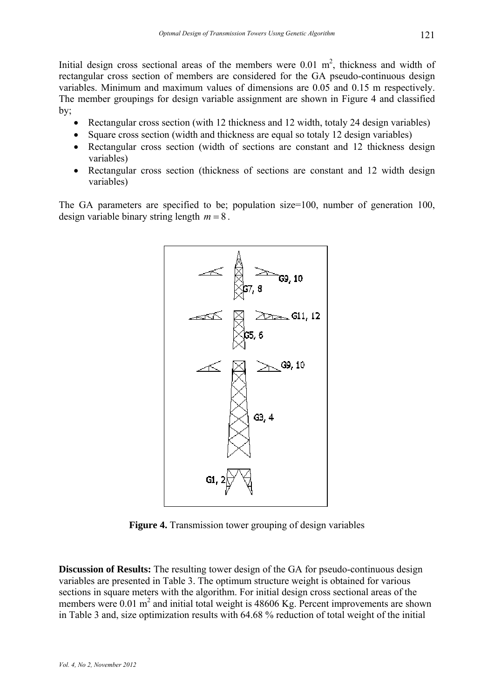Initial design cross sectional areas of the members were  $0.01 \text{ m}^2$ , thickness and width of rectangular cross section of members are considered for the GA pseudo-continuous design variables. Minimum and maximum values of dimensions are 0.05 and 0.15 m respectively. The member groupings for design variable assignment are shown in Figure 4 and classified by;

- Rectangular cross section (with 12 thickness and 12 width, totaly 24 design variables)
- Square cross section (width and thickness are equal so totaly 12 design variables)
- Rectangular cross section (width of sections are constant and 12 thickness design variables)
- Rectangular cross section (thickness of sections are constant and 12 width design variables)

The GA parameters are specified to be; population size=100, number of generation 100, design variable binary string length  $m = 8$ .



**Figure 4.** Transmission tower grouping of design variables

**Discussion of Results:** The resulting tower design of the GA for pseudo-continuous design variables are presented in Table 3. The optimum structure weight is obtained for various sections in square meters with the algorithm. For initial design cross sectional areas of the members were  $0.01 \text{ m}^2$  and initial total weight is 48606 Kg. Percent improvements are shown in Table 3 and, size optimization results with 64.68 % reduction of total weight of the initial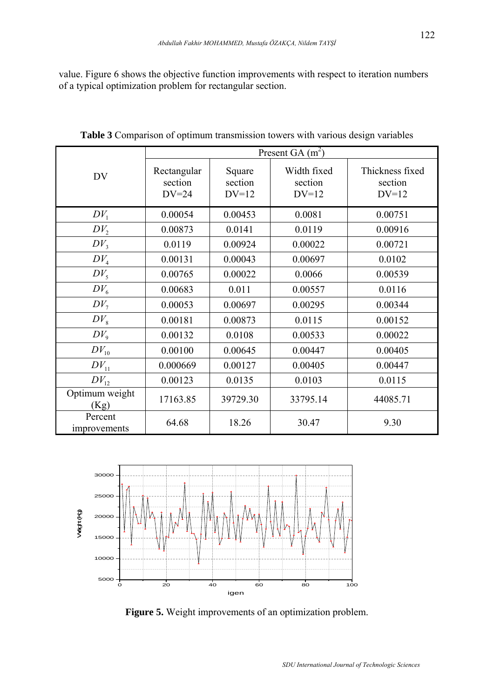value. Figure 6 shows the objective function improvements with respect to iteration numbers of a typical optimization problem for rectangular section.

|                         | Present GA $(m^2)$                |                              |                                   |                                       |
|-------------------------|-----------------------------------|------------------------------|-----------------------------------|---------------------------------------|
| <b>DV</b>               | Rectangular<br>section<br>$DV=24$ | Square<br>section<br>$DV=12$ | Width fixed<br>section<br>$DV=12$ | Thickness fixed<br>section<br>$DV=12$ |
| $DV_1$                  | 0.00054                           | 0.00453                      | 0.0081                            | 0.00751                               |
| $DV_2$                  | 0.00873                           | 0.0141                       | 0.0119                            | 0.00916                               |
| $DV_3$                  | 0.0119                            | 0.00924                      | 0.00022                           | 0.00721                               |
| $DV_4$                  | 0.00131                           | 0.00043                      | 0.00697                           | 0.0102                                |
| $DV_{\varsigma}$        | 0.00765                           | 0.00022                      | 0.0066                            | 0.00539                               |
| $DV_6$                  | 0.00683                           | 0.011                        | 0.00557                           | 0.0116                                |
| $DV_7$                  | 0.00053                           | 0.00697                      | 0.00295                           | 0.00344                               |
| $DV_{8}$                | 0.00181                           | 0.00873                      | 0.0115                            | 0.00152                               |
| $DV_{9}$                | 0.00132                           | 0.0108                       | 0.00533                           | 0.00022                               |
| $DV_{10}$               | 0.00100                           | 0.00645                      | 0.00447                           | 0.00405                               |
| $DV_{11}$               | 0.000669                          | 0.00127                      | 0.00405                           | 0.00447                               |
| $DV_{12}$               | 0.00123                           | 0.0135                       | 0.0103                            | 0.0115                                |
| Optimum weight<br>(Kg)  | 17163.85                          | 39729.30                     | 33795.14                          | 44085.71                              |
| Percent<br>improvements | 64.68                             | 18.26                        | 30.47                             | 9.30                                  |

**Table 3** Comparison of optimum transmission towers with various design variables



**Figure 5.** Weight improvements of an optimization problem.